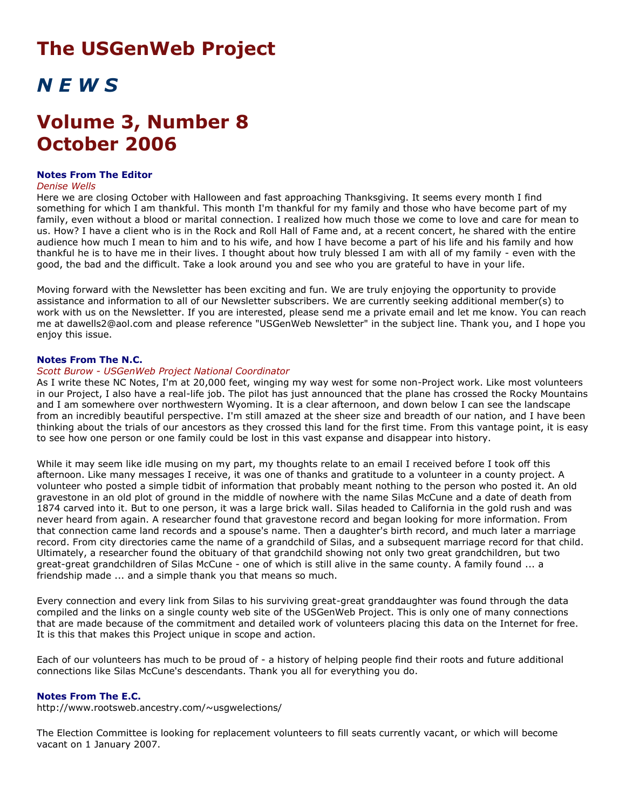# **The USGenWeb Project**

# *N E W S*

# **Volume 3, Number 8 October 2006**

# **Notes From The Editor**

#### *Denise Wells*

Here we are closing October with Halloween and fast approaching Thanksgiving. It seems every month I find something for which I am thankful. This month I'm thankful for my family and those who have become part of my family, even without a blood or marital connection. I realized how much those we come to love and care for mean to us. How? I have a client who is in the Rock and Roll Hall of Fame and, at a recent concert, he shared with the entire audience how much I mean to him and to his wife, and how I have become a part of his life and his family and how thankful he is to have me in their lives. I thought about how truly blessed I am with all of my family - even with the good, the bad and the difficult. Take a look around you and see who you are grateful to have in your life.

Moving forward with the Newsletter has been exciting and fun. We are truly enjoying the opportunity to provide assistance and information to all of our Newsletter subscribers. We are currently seeking additional member(s) to work with us on the Newsletter. If you are interested, please send me a private email and let me know. You can reach me at dawells2@aol.com and please reference "USGenWeb Newsletter" in the subject line. Thank you, and I hope you enjoy this issue.

# **Notes From The N.C.**

## *Scott Burow - USGenWeb Project National Coordinator*

As I write these NC Notes, I'm at 20,000 feet, winging my way west for some non-Project work. Like most volunteers in our Project, I also have a real-life job. The pilot has just announced that the plane has crossed the Rocky Mountains and I am somewhere over northwestern Wyoming. It is a clear afternoon, and down below I can see the landscape from an incredibly beautiful perspective. I'm still amazed at the sheer size and breadth of our nation, and I have been thinking about the trials of our ancestors as they crossed this land for the first time. From this vantage point, it is easy to see how one person or one family could be lost in this vast expanse and disappear into history.

While it may seem like idle musing on my part, my thoughts relate to an email I received before I took off this afternoon. Like many messages I receive, it was one of thanks and gratitude to a volunteer in a county project. A volunteer who posted a simple tidbit of information that probably meant nothing to the person who posted it. An old gravestone in an old plot of ground in the middle of nowhere with the name Silas McCune and a date of death from 1874 carved into it. But to one person, it was a large brick wall. Silas headed to California in the gold rush and was never heard from again. A researcher found that gravestone record and began looking for more information. From that connection came land records and a spouse's name. Then a daughter's birth record, and much later a marriage record. From city directories came the name of a grandchild of Silas, and a subsequent marriage record for that child. Ultimately, a researcher found the obituary of that grandchild showing not only two great grandchildren, but two great-great grandchildren of Silas McCune - one of which is still alive in the same county. A family found ... a friendship made ... and a simple thank you that means so much.

Every connection and every link from Silas to his surviving great-great granddaughter was found through the data compiled and the links on a single county web site of the USGenWeb Project. This is only one of many connections that are made because of the commitment and detailed work of volunteers placing this data on the Internet for free. It is this that makes this Project unique in scope and action.

Each of our volunteers has much to be proud of - a history of helping people find their roots and future additional connections like Silas McCune's descendants. Thank you all for everything you do.

# **Notes From The E.C.**

http://www.rootsweb.ancestry.com/~usgwelections/

The Election Committee is looking for replacement volunteers to fill seats currently vacant, or which will become vacant on 1 January 2007.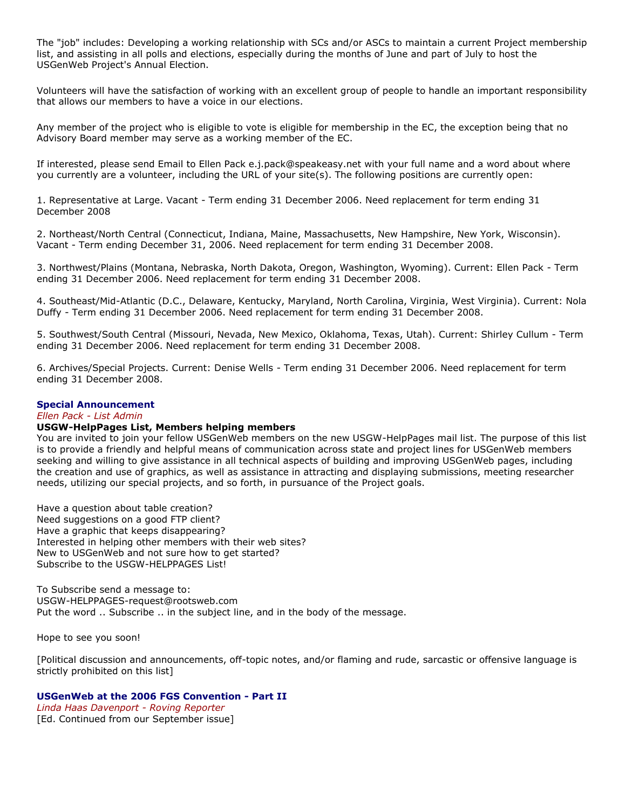The "job" includes: Developing a working relationship with SCs and/or ASCs to maintain a current Project membership list, and assisting in all polls and elections, especially during the months of June and part of July to host the USGenWeb Project's Annual Election.

Volunteers will have the satisfaction of working with an excellent group of people to handle an important responsibility that allows our members to have a voice in our elections.

Any member of the project who is eligible to vote is eligible for membership in the EC, the exception being that no Advisory Board member may serve as a working member of the EC.

If interested, please send Email to Ellen Pack e.j.pack@speakeasy.net with your full name and a word about where you currently are a volunteer, including the URL of your site(s). The following positions are currently open:

1. Representative at Large. Vacant - Term ending 31 December 2006. Need replacement for term ending 31 December 2008

2. Northeast/North Central (Connecticut, Indiana, Maine, Massachusetts, New Hampshire, New York, Wisconsin). Vacant - Term ending December 31, 2006. Need replacement for term ending 31 December 2008.

3. Northwest/Plains (Montana, Nebraska, North Dakota, Oregon, Washington, Wyoming). Current: Ellen Pack - Term ending 31 December 2006. Need replacement for term ending 31 December 2008.

4. Southeast/Mid-Atlantic (D.C., Delaware, Kentucky, Maryland, North Carolina, Virginia, West Virginia). Current: Nola Duffy - Term ending 31 December 2006. Need replacement for term ending 31 December 2008.

5. Southwest/South Central (Missouri, Nevada, New Mexico, Oklahoma, Texas, Utah). Current: Shirley Cullum - Term ending 31 December 2006. Need replacement for term ending 31 December 2008.

6. Archives/Special Projects. Current: Denise Wells - Term ending 31 December 2006. Need replacement for term ending 31 December 2008.

# **Special Announcement**

#### *Ellen Pack - List Admin*

# **USGW-HelpPages List, Members helping members**

You are invited to join your fellow USGenWeb members on the new USGW-HelpPages mail list. The purpose of this list is to provide a friendly and helpful means of communication across state and project lines for USGenWeb members seeking and willing to give assistance in all technical aspects of building and improving USGenWeb pages, including the creation and use of graphics, as well as assistance in attracting and displaying submissions, meeting researcher needs, utilizing our special projects, and so forth, in pursuance of the Project goals.

Have a question about table creation? Need suggestions on a good FTP client? Have a graphic that keeps disappearing? Interested in helping other members with their web sites? New to USGenWeb and not sure how to get started? Subscribe to the USGW-HELPPAGES List!

To Subscribe send a message to: USGW-HELPPAGES-request@rootsweb.com Put the word .. Subscribe .. in the subject line, and in the body of the message.

Hope to see you soon!

[Political discussion and announcements, off-topic notes, and/or flaming and rude, sarcastic or offensive language is strictly prohibited on this list]

## **USGenWeb at the 2006 FGS Convention - Part II**

*Linda Haas Davenport - Roving Reporter* [Ed. Continued from our September issue]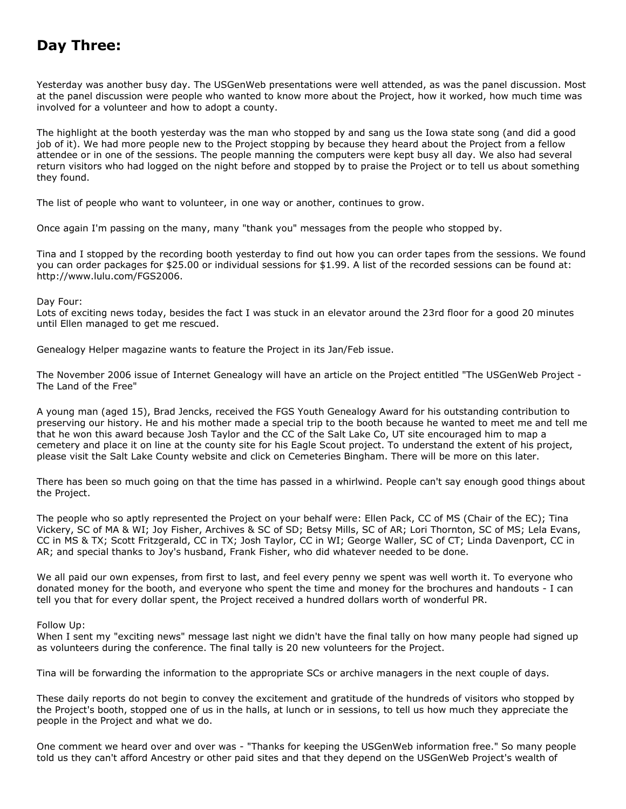# **Day Three:**

Yesterday was another busy day. The USGenWeb presentations were well attended, as was the panel discussion. Most at the panel discussion were people who wanted to know more about the Project, how it worked, how much time was involved for a volunteer and how to adopt a county.

The highlight at the booth yesterday was the man who stopped by and sang us the Iowa state song (and did a good job of it). We had more people new to the Project stopping by because they heard about the Project from a fellow attendee or in one of the sessions. The people manning the computers were kept busy all day. We also had several return visitors who had logged on the night before and stopped by to praise the Project or to tell us about something they found.

The list of people who want to volunteer, in one way or another, continues to grow.

Once again I'm passing on the many, many "thank you" messages from the people who stopped by.

Tina and I stopped by the recording booth yesterday to find out how you can order tapes from the sessions. We found you can order packages for \$25.00 or individual sessions for \$1.99. A list of the recorded sessions can be found at: http://www.lulu.com/FGS2006.

## Day Four:

Lots of exciting news today, besides the fact I was stuck in an elevator around the 23rd floor for a good 20 minutes until Ellen managed to get me rescued.

Genealogy Helper magazine wants to feature the Project in its Jan/Feb issue.

The November 2006 issue of Internet Genealogy will have an article on the Project entitled "The USGenWeb Project - The Land of the Free"

A young man (aged 15), Brad Jencks, received the FGS Youth Genealogy Award for his outstanding contribution to preserving our history. He and his mother made a special trip to the booth because he wanted to meet me and tell me that he won this award because Josh Taylor and the CC of the Salt Lake Co, UT site encouraged him to map a cemetery and place it on line at the county site for his Eagle Scout project. To understand the extent of his project, please visit the Salt Lake County website and click on Cemeteries Bingham. There will be more on this later.

There has been so much going on that the time has passed in a whirlwind. People can't say enough good things about the Project.

The people who so aptly represented the Project on your behalf were: Ellen Pack, CC of MS (Chair of the EC); Tina Vickery, SC of MA & WI; Joy Fisher, Archives & SC of SD; Betsy Mills, SC of AR; Lori Thornton, SC of MS; Lela Evans, CC in MS & TX; Scott Fritzgerald, CC in TX; Josh Taylor, CC in WI; George Waller, SC of CT; Linda Davenport, CC in AR; and special thanks to Joy's husband, Frank Fisher, who did whatever needed to be done.

We all paid our own expenses, from first to last, and feel every penny we spent was well worth it. To everyone who donated money for the booth, and everyone who spent the time and money for the brochures and handouts - I can tell you that for every dollar spent, the Project received a hundred dollars worth of wonderful PR.

## Follow Up:

When I sent my "exciting news" message last night we didn't have the final tally on how many people had signed up as volunteers during the conference. The final tally is 20 new volunteers for the Project.

Tina will be forwarding the information to the appropriate SCs or archive managers in the next couple of days.

These daily reports do not begin to convey the excitement and gratitude of the hundreds of visitors who stopped by the Project's booth, stopped one of us in the halls, at lunch or in sessions, to tell us how much they appreciate the people in the Project and what we do.

One comment we heard over and over was - "Thanks for keeping the USGenWeb information free." So many people told us they can't afford Ancestry or other paid sites and that they depend on the USGenWeb Project's wealth of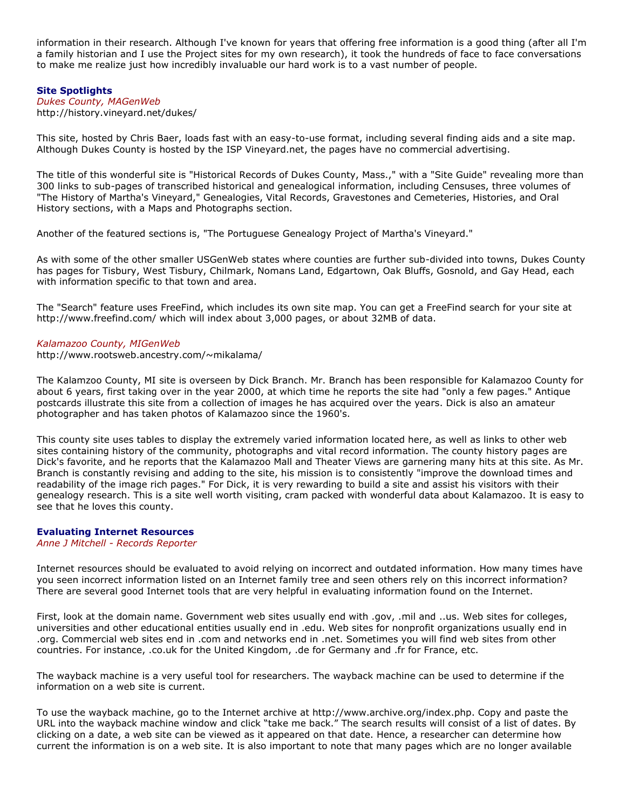information in their research. Although I've known for years that offering free information is a good thing (after all I'm a family historian and I use the Project sites for my own research), it took the hundreds of face to face conversations to make me realize just how incredibly invaluable our hard work is to a vast number of people.

## **Site Spotlights**

*Dukes County, MAGenWeb* http://history.vineyard.net/dukes/

This site, hosted by Chris Baer, loads fast with an easy-to-use format, including several finding aids and a site map. Although Dukes County is hosted by the ISP Vineyard.net, the pages have no commercial advertising.

The title of this wonderful site is "Historical Records of Dukes County, Mass.," with a "Site Guide" revealing more than 300 links to sub-pages of transcribed historical and genealogical information, including Censuses, three volumes of "The History of Martha's Vineyard," Genealogies, Vital Records, Gravestones and Cemeteries, Histories, and Oral History sections, with a Maps and Photographs section.

Another of the featured sections is, "The Portuguese Genealogy Project of Martha's Vineyard."

As with some of the other smaller USGenWeb states where counties are further sub-divided into towns, Dukes County has pages for Tisbury, West Tisbury, Chilmark, Nomans Land, Edgartown, Oak Bluffs, Gosnold, and Gay Head, each with information specific to that town and area.

The "Search" feature uses FreeFind, which includes its own site map. You can get a FreeFind search for your site at http://www.freefind.com/ which will index about 3,000 pages, or about 32MB of data.

## *Kalamazoo County, MIGenWeb*

http://www.rootsweb.ancestry.com/~mikalama/

The Kalamzoo County, MI site is overseen by Dick Branch. Mr. Branch has been responsible for Kalamazoo County for about 6 years, first taking over in the year 2000, at which time he reports the site had "only a few pages." Antique postcards illustrate this site from a collection of images he has acquired over the years. Dick is also an amateur photographer and has taken photos of Kalamazoo since the 1960's.

This county site uses tables to display the extremely varied information located here, as well as links to other web sites containing history of the community, photographs and vital record information. The county history pages are Dick's favorite, and he reports that the Kalamazoo Mall and Theater Views are garnering many hits at this site. As Mr. Branch is constantly revising and adding to the site, his mission is to consistently "improve the download times and readability of the image rich pages." For Dick, it is very rewarding to build a site and assist his visitors with their genealogy research. This is a site well worth visiting, cram packed with wonderful data about Kalamazoo. It is easy to see that he loves this county.

## **Evaluating Internet Resources**

*Anne J Mitchell - Records Reporter*

Internet resources should be evaluated to avoid relying on incorrect and outdated information. How many times have you seen incorrect information listed on an Internet family tree and seen others rely on this incorrect information? There are several good Internet tools that are very helpful in evaluating information found on the Internet.

First, look at the domain name. Government web sites usually end with .gov, .mil and ..us. Web sites for colleges, universities and other educational entities usually end in .edu. Web sites for nonprofit organizations usually end in .org. Commercial web sites end in .com and networks end in .net. Sometimes you will find web sites from other countries. For instance, .co.uk for the United Kingdom, .de for Germany and .fr for France, etc.

The wayback machine is a very useful tool for researchers. The wayback machine can be used to determine if the information on a web site is current.

To use the wayback machine, go to the Internet archive at http://www.archive.org/index.php. Copy and paste the URL into the wayback machine window and click "take me back." The search results will consist of a list of dates. By clicking on a date, a web site can be viewed as it appeared on that date. Hence, a researcher can determine how current the information is on a web site. It is also important to note that many pages which are no longer available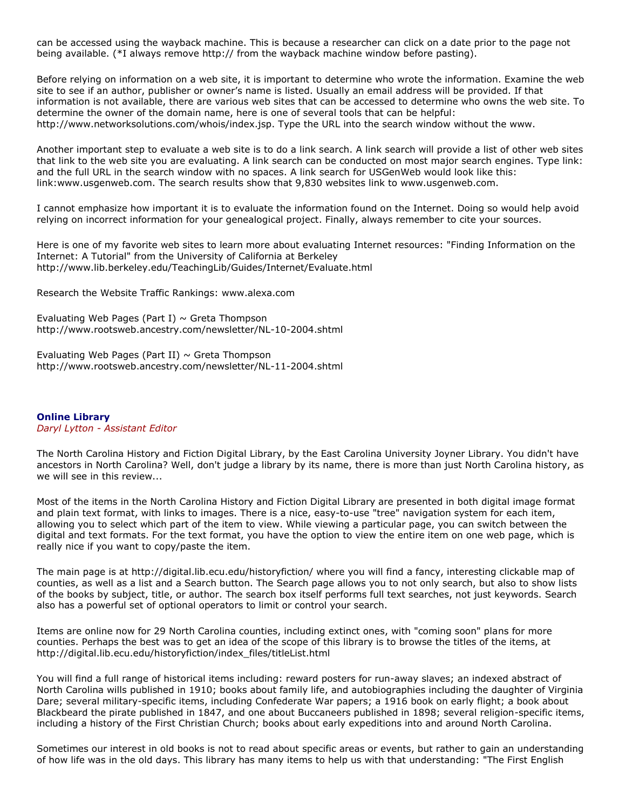can be accessed using the wayback machine. This is because a researcher can click on a date prior to the page not being available. (\*I always remove http:// from the wayback machine window before pasting).

Before relying on information on a web site, it is important to determine who wrote the information. Examine the web site to see if an author, publisher or owner's name is listed. Usually an email address will be provided. If that information is not available, there are various web sites that can be accessed to determine who owns the web site. To determine the owner of the domain name, here is one of several tools that can be helpful: http://www.networksolutions.com/whois/index.jsp. Type the URL into the search window without the www.

Another important step to evaluate a web site is to do a link search. A link search will provide a list of other web sites that link to the web site you are evaluating. A link search can be conducted on most major search engines. Type link: and the full URL in the search window with no spaces. A link search for USGenWeb would look like this: link:www.usgenweb.com. The search results show that 9,830 websites link to www.usgenweb.com.

I cannot emphasize how important it is to evaluate the information found on the Internet. Doing so would help avoid relying on incorrect information for your genealogical project. Finally, always remember to cite your sources.

Here is one of my favorite web sites to learn more about evaluating Internet resources: "Finding Information on the Internet: A Tutorial" from the University of California at Berkeley http://www.lib.berkeley.edu/TeachingLib/Guides/Internet/Evaluate.html

Research the Website Traffic Rankings: www.alexa.com

Evaluating Web Pages (Part I)  $\sim$  Greta Thompson http://www.rootsweb.ancestry.com/newsletter/NL-10-2004.shtml

Evaluating Web Pages (Part II)  $\sim$  Greta Thompson http://www.rootsweb.ancestry.com/newsletter/NL-11-2004.shtml

**Online Library** *Daryl Lytton - Assistant Editor*

The North Carolina History and Fiction Digital Library, by the East Carolina University Joyner Library. You didn't have ancestors in North Carolina? Well, don't judge a library by its name, there is more than just North Carolina history, as we will see in this review...

Most of the items in the North Carolina History and Fiction Digital Library are presented in both digital image format and plain text format, with links to images. There is a nice, easy-to-use "tree" navigation system for each item, allowing you to select which part of the item to view. While viewing a particular page, you can switch between the digital and text formats. For the text format, you have the option to view the entire item on one web page, which is really nice if you want to copy/paste the item.

The main page is at http://digital.lib.ecu.edu/historyfiction/ where you will find a fancy, interesting clickable map of counties, as well as a list and a Search button. The Search page allows you to not only search, but also to show lists of the books by subject, title, or author. The search box itself performs full text searches, not just keywords. Search also has a powerful set of optional operators to limit or control your search.

Items are online now for 29 North Carolina counties, including extinct ones, with "coming soon" plans for more counties. Perhaps the best was to get an idea of the scope of this library is to browse the titles of the items, at http://digital.lib.ecu.edu/historyfiction/index\_files/titleList.html

You will find a full range of historical items including: reward posters for run-away slaves; an indexed abstract of North Carolina wills published in 1910; books about family life, and autobiographies including the daughter of Virginia Dare; several military-specific items, including Confederate War papers; a 1916 book on early flight; a book about Blackbeard the pirate published in 1847, and one about Buccaneers published in 1898; several religion-specific items, including a history of the First Christian Church; books about early expeditions into and around North Carolina.

Sometimes our interest in old books is not to read about specific areas or events, but rather to gain an understanding of how life was in the old days. This library has many items to help us with that understanding: "The First English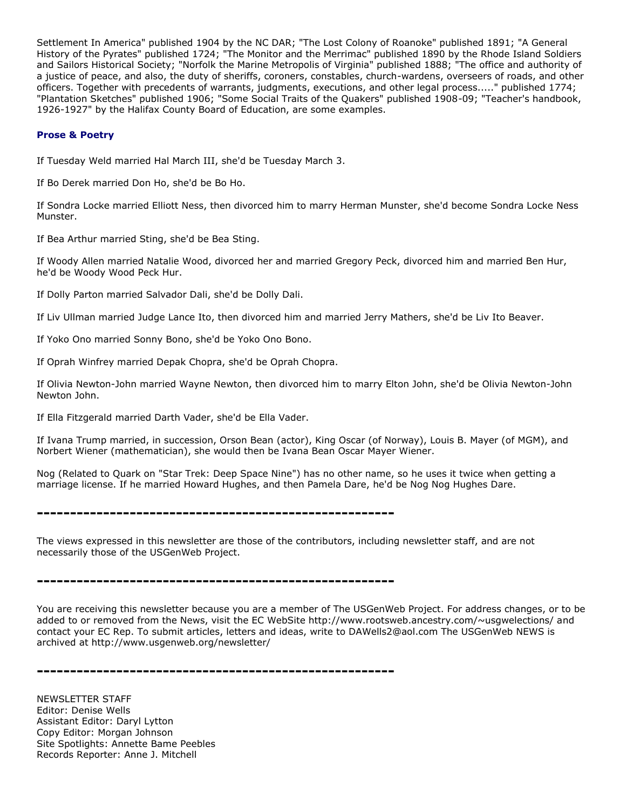Settlement In America" published 1904 by the NC DAR; "The Lost Colony of Roanoke" published 1891; "A General History of the Pyrates" published 1724; "The Monitor and the Merrimac" published 1890 by the Rhode Island Soldiers and Sailors Historical Society; "Norfolk the Marine Metropolis of Virginia" published 1888; "The office and authority of a justice of peace, and also, the duty of sheriffs, coroners, constables, church-wardens, overseers of roads, and other officers. Together with precedents of warrants, judgments, executions, and other legal process....." published 1774; "Plantation Sketches" published 1906; "Some Social Traits of the Quakers" published 1908-09; "Teacher's handbook, 1926-1927" by the Halifax County Board of Education, are some examples.

# **Prose & Poetry**

If Tuesday Weld married Hal March III, she'd be Tuesday March 3.

If Bo Derek married Don Ho, she'd be Bo Ho.

If Sondra Locke married Elliott Ness, then divorced him to marry Herman Munster, she'd become Sondra Locke Ness Munster.

If Bea Arthur married Sting, she'd be Bea Sting.

If Woody Allen married Natalie Wood, divorced her and married Gregory Peck, divorced him and married Ben Hur, he'd be Woody Wood Peck Hur.

If Dolly Parton married Salvador Dali, she'd be Dolly Dali.

If Liv Ullman married Judge Lance Ito, then divorced him and married Jerry Mathers, she'd be Liv Ito Beaver.

If Yoko Ono married Sonny Bono, she'd be Yoko Ono Bono.

If Oprah Winfrey married Depak Chopra, she'd be Oprah Chopra.

If Olivia Newton-John married Wayne Newton, then divorced him to marry Elton John, she'd be Olivia Newton-John Newton John.

If Ella Fitzgerald married Darth Vader, she'd be Ella Vader.

If Ivana Trump married, in succession, Orson Bean (actor), King Oscar (of Norway), Louis B. Mayer (of MGM), and Norbert Wiener (mathematician), she would then be Ivana Bean Oscar Mayer Wiener.

Nog (Related to Quark on "Star Trek: Deep Space Nine") has no other name, so he uses it twice when getting a marriage license. If he married Howard Hughes, and then Pamela Dare, he'd be Nog Nog Hughes Dare.

**------------------------------------------------------**

The views expressed in this newsletter are those of the contributors, including newsletter staff, and are not necessarily those of the USGenWeb Project.

**------------------------------------------------------**

You are receiving this newsletter because you are a member of The USGenWeb Project. For address changes, or to be added to or removed from the News, visit the EC WebSite http://www.rootsweb.ancestry.com/~usgwelections/ and contact your EC Rep. To submit articles, letters and ideas, write to DAWells2@aol.com The USGenWeb NEWS is archived at http://www.usgenweb.org/newsletter/

**------------------------------------------------------**

NEWSLETTER STAFF Editor: Denise Wells Assistant Editor: Daryl Lytton Copy Editor: Morgan Johnson Site Spotlights: Annette Bame Peebles Records Reporter: Anne J. Mitchell